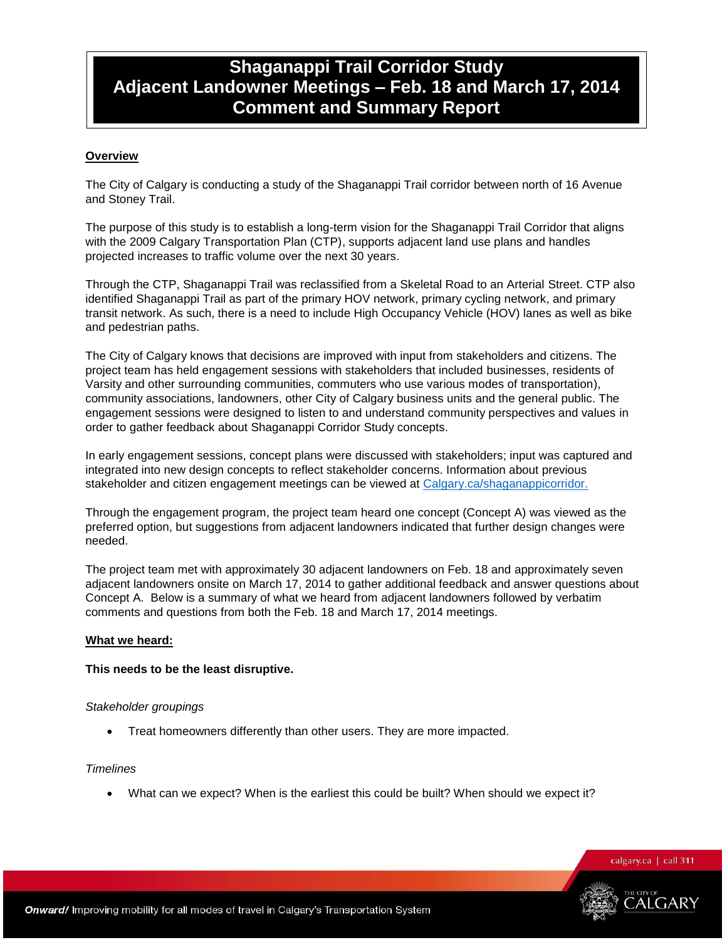# **Shaganappi Trail Corridor Study Adjacent Landowner Meetings – Feb. 18 and March 17, 2014 Comment and Summary Report**

### **Overview**

The City of Calgary is conducting a study of the Shaganappi Trail corridor between north of 16 Avenue and Stoney Trail.

The purpose of this study is to establish a long-term vision for the Shaganappi Trail Corridor that aligns with the 2009 Calgary Transportation Plan (CTP), supports adjacent land use plans and handles projected increases to traffic volume over the next 30 years.

Through the CTP, Shaganappi Trail was reclassified from a Skeletal Road to an Arterial Street. CTP also identified Shaganappi Trail as part of the primary HOV network, primary cycling network, and primary transit network. As such, there is a need to include High Occupancy Vehicle (HOV) lanes as well as bike and pedestrian paths.

The City of Calgary knows that decisions are improved with input from stakeholders and citizens. The project team has held engagement sessions with stakeholders that included businesses, residents of Varsity and other surrounding communities, commuters who use various modes of transportation), community associations, landowners, other City of Calgary business units and the general public. The engagement sessions were designed to listen to and understand community perspectives and values in order to gather feedback about Shaganappi Corridor Study concepts.

In early engagement sessions, concept plans were discussed with stakeholders; input was captured and integrated into new design concepts to reflect stakeholder concerns. Information about previous stakeholder and citizen engagement meetings can be viewed at [Calgary.ca/shaganappicorridor.](http://www.calgary.ca/Transportation/TP/Pages/Projects/Current-Planning-Projects/Shaganappi-Trail-Corridor-and-HOV-Study.aspx)

Through the engagement program, the project team heard one concept (Concept A) was viewed as the preferred option, but suggestions from adjacent landowners indicated that further design changes were needed.

The project team met with approximately 30 adjacent landowners on Feb. 18 and approximately seven adjacent landowners onsite on March 17, 2014 to gather additional feedback and answer questions about Concept A. Below is a summary of what we heard from adjacent landowners followed by verbatim comments and questions from both the Feb. 18 and March 17, 2014 meetings.

### **What we heard:**

### **This needs to be the least disruptive.**

### *Stakeholder groupings*

Treat homeowners differently than other users. They are more impacted.

#### *Timelines*

What can we expect? When is the earliest this could be built? When should we expect it?

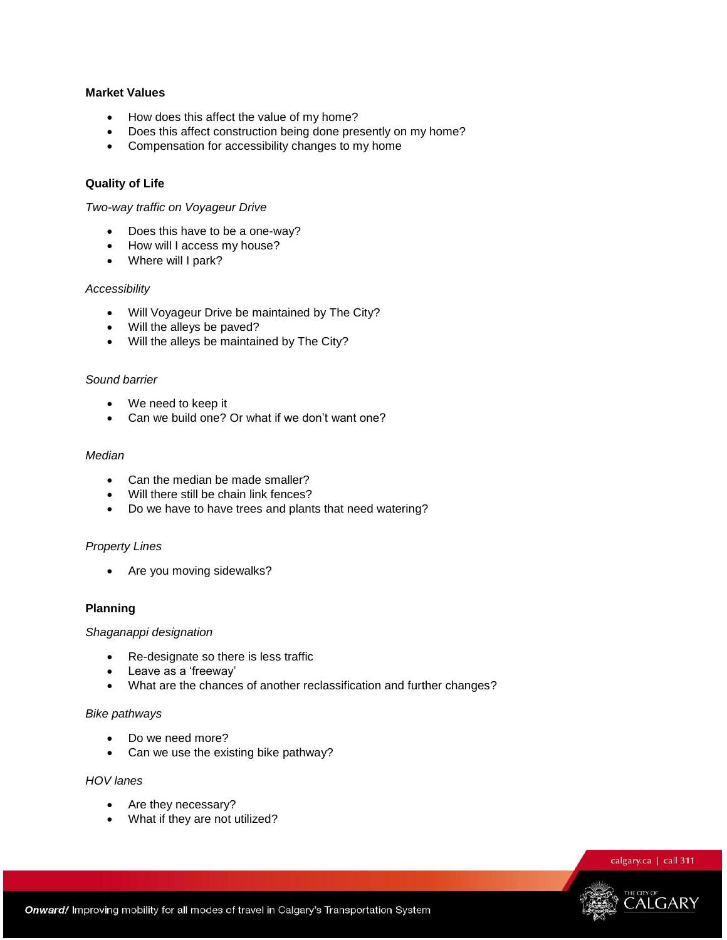### **Market Values**

- How does this affect the value of my home?
- Does this affect construction being done presently on my home?
- Compensation for accessibility changes to my home

### **Quality of Life**

### *Two-way traffic on Voyageur Drive*

- Does this have to be a one-way?
- How will I access my house?
- Where will I park?

#### *Accessibility*

- Will Voyageur Drive be maintained by The City?
- Will the alleys be paved?
- Will the alleys be maintained by The City?

#### *Sound barrier*

- We need to keep it
- Can we build one? Or what if we don't want one?

#### *Median*

- Can the median be made smaller?
- Will there still be chain link fences?
- Do we have to have trees and plants that need watering?

#### *Property Lines*

• Are you moving sidewalks?

#### **Planning**

#### *Shaganappi designation*

- Re-designate so there is less traffic
- Leave as a 'freeway'
- What are the chances of another reclassification and further changes?

#### *Bike pathways*

- Do we need more?
- Can we use the existing bike pathway?

#### *HOV lanes*

- Are they necessary?
- What if they are not utilized?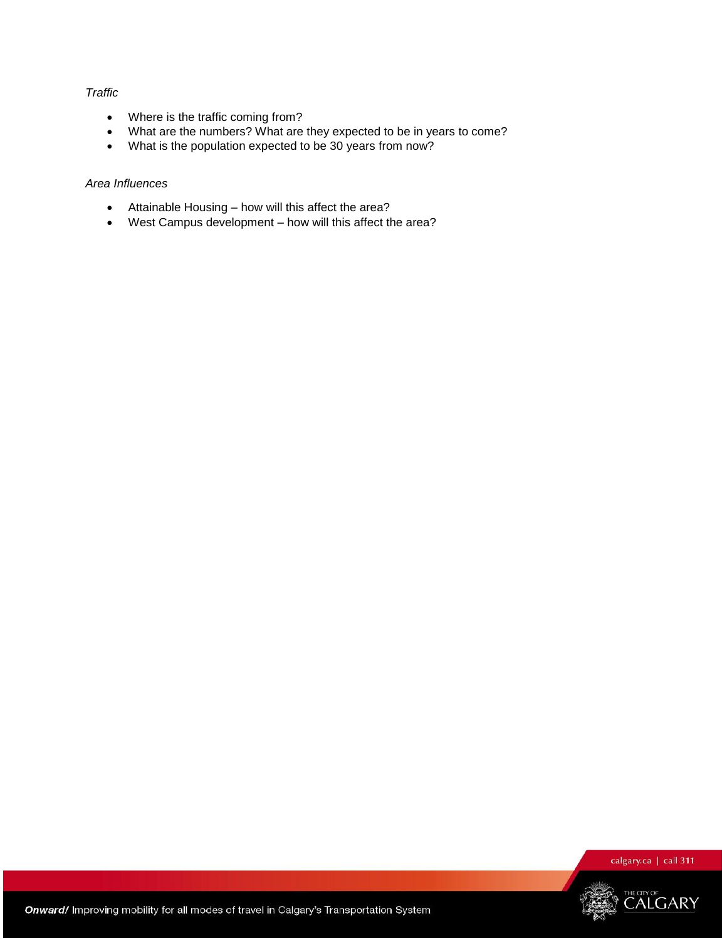### *Traffic*

- Where is the traffic coming from?
- What are the numbers? What are they expected to be in years to come?
- What is the population expected to be 30 years from now?

### *Area Influences*

- Attainable Housing how will this affect the area?
- West Campus development how will this affect the area?

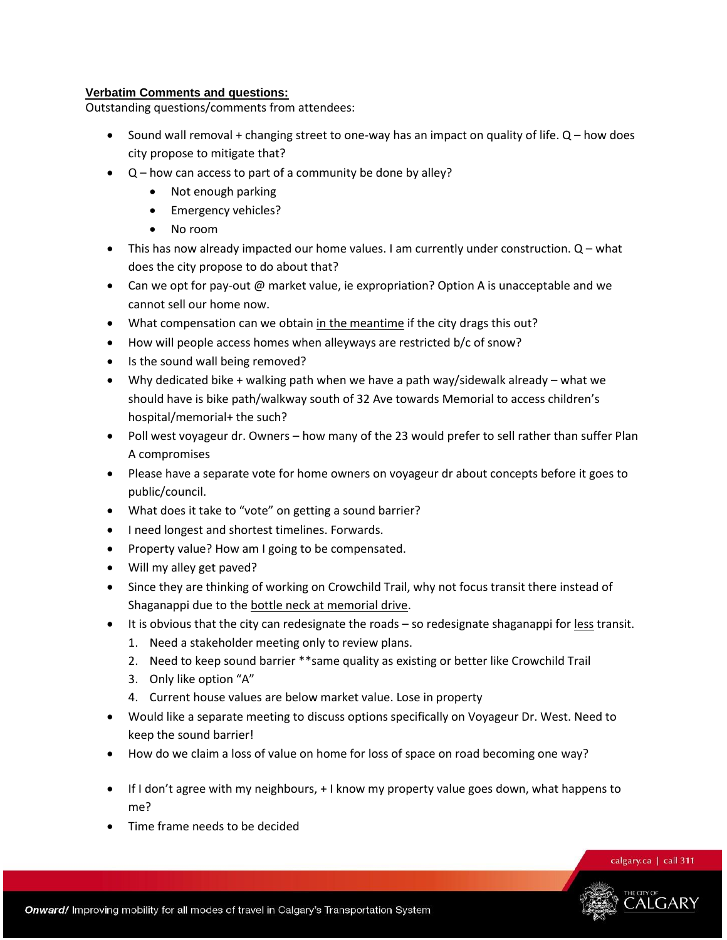### **Verbatim Comments and questions:**

Outstanding questions/comments from attendees:

- Sound wall removal + changing street to one-way has an impact on quality of life. Q how does city propose to mitigate that?
- Q how can access to part of a community be done by alley?
	- Not enough parking
	- Emergency vehicles?
	- No room
- $\bullet$  This has now already impacted our home values. I am currently under construction.  $Q$  what does the city propose to do about that?
- Can we opt for pay-out @ market value, ie expropriation? Option A is unacceptable and we cannot sell our home now.
- What compensation can we obtain in the meantime if the city drags this out?
- How will people access homes when alleyways are restricted b/c of snow?
- Is the sound wall being removed?
- Why dedicated bike + walking path when we have a path way/sidewalk already what we should have is bike path/walkway south of 32 Ave towards Memorial to access children's hospital/memorial+ the such?
- Poll west voyageur dr. Owners how many of the 23 would prefer to sell rather than suffer Plan A compromises
- Please have a separate vote for home owners on voyageur dr about concepts before it goes to public/council.
- What does it take to "vote" on getting a sound barrier?
- I need longest and shortest timelines. Forwards.
- Property value? How am I going to be compensated.
- Will my alley get paved?
- Since they are thinking of working on Crowchild Trail, why not focus transit there instead of Shaganappi due to the bottle neck at memorial drive.
- It is obvious that the city can redesignate the roads so redesignate shaganappi for less transit.
	- 1. Need a stakeholder meeting only to review plans.
	- 2. Need to keep sound barrier \*\*same quality as existing or better like Crowchild Trail
	- 3. Only like option "A"
	- 4. Current house values are below market value. Lose in property
- Would like a separate meeting to discuss options specifically on Voyageur Dr. West. Need to keep the sound barrier!
- How do we claim a loss of value on home for loss of space on road becoming one way?
- If I don't agree with my neighbours, + I know my property value goes down, what happens to me?
- Time frame needs to be decided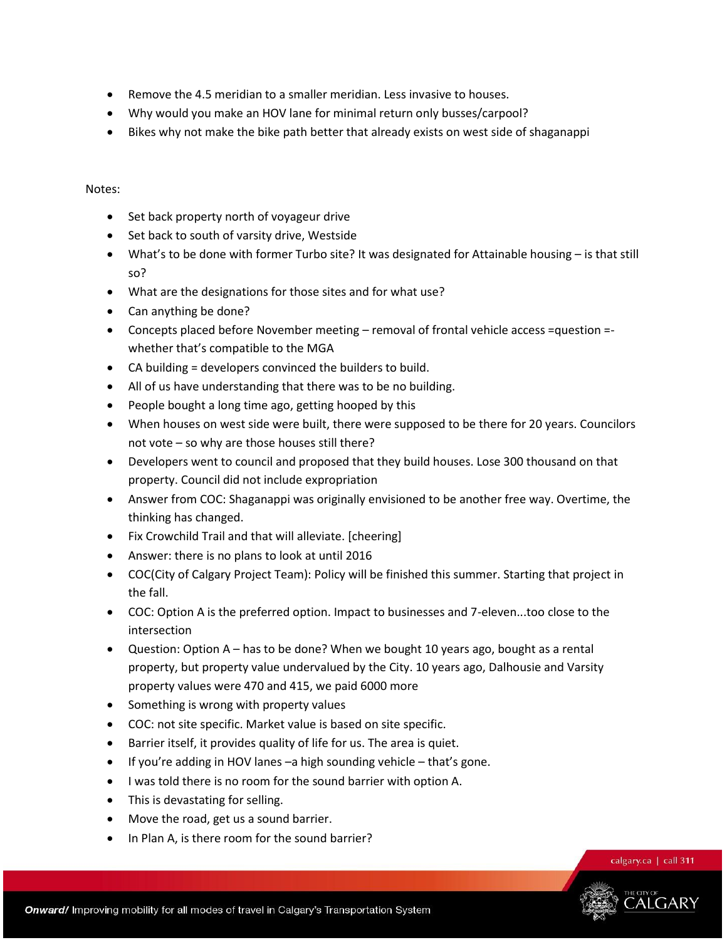- Remove the 4.5 meridian to a smaller meridian. Less invasive to houses.
- Why would you make an HOV lane for minimal return only busses/carpool?
- Bikes why not make the bike path better that already exists on west side of shaganappi

### Notes:

- Set back property north of voyageur drive
- Set back to south of varsity drive, Westside
- What's to be done with former Turbo site? It was designated for Attainable housing is that still so?
- What are the designations for those sites and for what use?
- Can anything be done?
- Concepts placed before November meeting removal of frontal vehicle access =question = whether that's compatible to the MGA
- CA building = developers convinced the builders to build.
- All of us have understanding that there was to be no building.
- People bought a long time ago, getting hooped by this
- When houses on west side were built, there were supposed to be there for 20 years. Councilors not vote – so why are those houses still there?
- Developers went to council and proposed that they build houses. Lose 300 thousand on that property. Council did not include expropriation
- Answer from COC: Shaganappi was originally envisioned to be another free way. Overtime, the thinking has changed.
- Fix Crowchild Trail and that will alleviate. [cheering]
- Answer: there is no plans to look at until 2016
- COC(City of Calgary Project Team): Policy will be finished this summer. Starting that project in the fall.
- COC: Option A is the preferred option. Impact to businesses and 7-eleven...too close to the intersection
- Question: Option A has to be done? When we bought 10 years ago, bought as a rental property, but property value undervalued by the City. 10 years ago, Dalhousie and Varsity property values were 470 and 415, we paid 6000 more
- Something is wrong with property values
- COC: not site specific. Market value is based on site specific.
- Barrier itself, it provides quality of life for us. The area is quiet.
- $\bullet$  If you're adding in HOV lanes –a high sounding vehicle that's gone.
- I was told there is no room for the sound barrier with option A.
- This is devastating for selling.
- Move the road, get us a sound barrier.
- In Plan A, is there room for the sound barrier?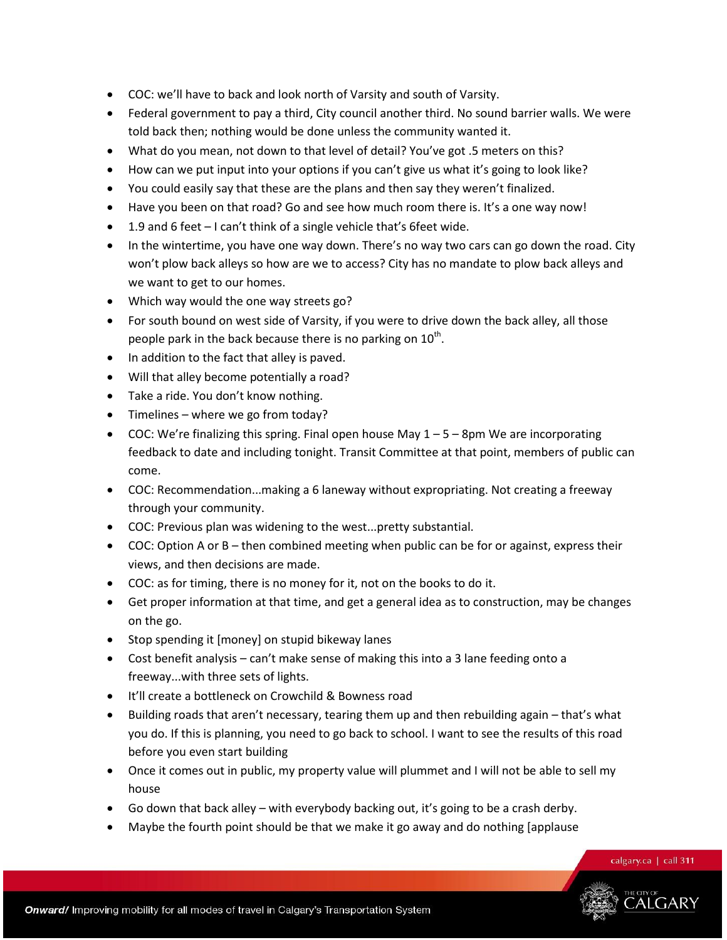- COC: we'll have to back and look north of Varsity and south of Varsity.
- Federal government to pay a third, City council another third. No sound barrier walls. We were told back then; nothing would be done unless the community wanted it.
- What do you mean, not down to that level of detail? You've got .5 meters on this?
- How can we put input into your options if you can't give us what it's going to look like?
- You could easily say that these are the plans and then say they weren't finalized.
- Have you been on that road? Go and see how much room there is. It's a one way now!
- 1.9 and 6 feet I can't think of a single vehicle that's 6feet wide.
- In the wintertime, you have one way down. There's no way two cars can go down the road. City won't plow back alleys so how are we to access? City has no mandate to plow back alleys and we want to get to our homes.
- Which way would the one way streets go?
- For south bound on west side of Varsity, if you were to drive down the back alley, all those people park in the back because there is no parking on  $10^{\text{th}}$ .
- In addition to the fact that alley is paved.
- Will that alley become potentially a road?
- Take a ride. You don't know nothing.
- Timelines where we go from today?
- COC: We're finalizing this spring. Final open house May  $1 5 8$ pm We are incorporating feedback to date and including tonight. Transit Committee at that point, members of public can come.
- COC: Recommendation...making a 6 laneway without expropriating. Not creating a freeway through your community.
- COC: Previous plan was widening to the west...pretty substantial.
- COC: Option A or B then combined meeting when public can be for or against, express their views, and then decisions are made.
- COC: as for timing, there is no money for it, not on the books to do it.
- Get proper information at that time, and get a general idea as to construction, may be changes on the go.
- Stop spending it [money] on stupid bikeway lanes
- Cost benefit analysis can't make sense of making this into a 3 lane feeding onto a freeway...with three sets of lights.
- It'll create a bottleneck on Crowchild & Bowness road
- Building roads that aren't necessary, tearing them up and then rebuilding again that's what you do. If this is planning, you need to go back to school. I want to see the results of this road before you even start building
- Once it comes out in public, my property value will plummet and I will not be able to sell my house
- Go down that back alley with everybody backing out, it's going to be a crash derby.
- Maybe the fourth point should be that we make it go away and do nothing [applause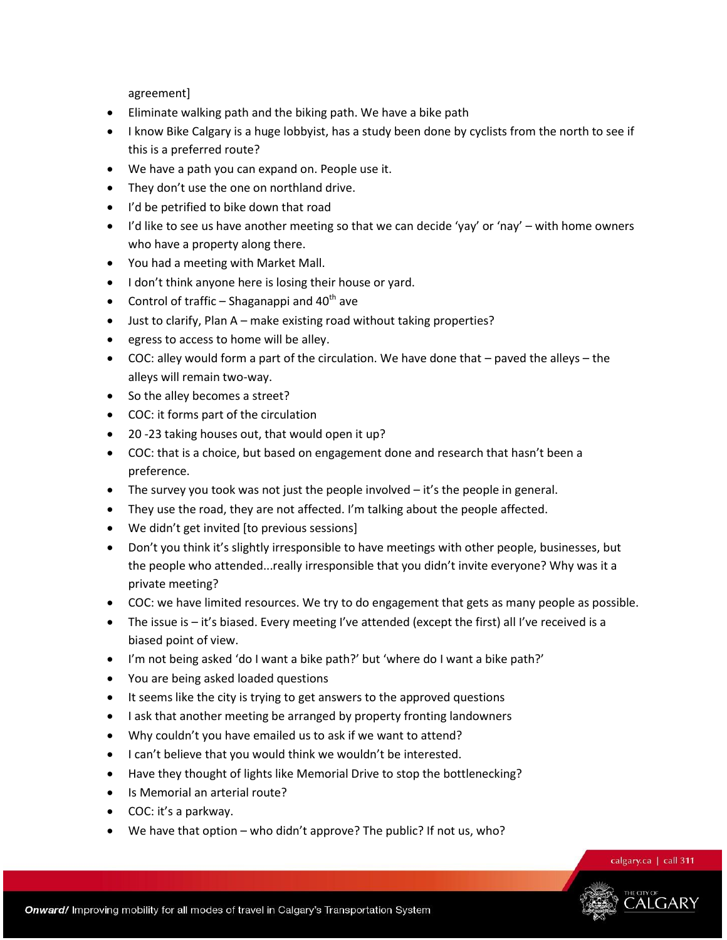agreement]

- Eliminate walking path and the biking path. We have a bike path
- I know Bike Calgary is a huge lobbyist, has a study been done by cyclists from the north to see if this is a preferred route?
- We have a path you can expand on. People use it.
- They don't use the one on northland drive.
- I'd be petrified to bike down that road
- I'd like to see us have another meeting so that we can decide 'yay' or 'nay' with home owners who have a property along there.
- You had a meeting with Market Mall.
- I don't think anyone here is losing their house or yard.
- Control of traffic Shaganappi and  $40<sup>th</sup>$  ave
- Just to clarify, Plan A make existing road without taking properties?
- egress to access to home will be alley.
- COC: alley would form a part of the circulation. We have done that paved the alleys the alleys will remain two-way.
- So the alley becomes a street?
- COC: it forms part of the circulation
- 20 -23 taking houses out, that would open it up?
- COC: that is a choice, but based on engagement done and research that hasn't been a preference.
- $\bullet$  The survey you took was not just the people involved  $-i$  t's the people in general.
- They use the road, they are not affected. I'm talking about the people affected.
- $\bullet$  We didn't get invited [to previous sessions]
- Don't you think it's slightly irresponsible to have meetings with other people, businesses, but the people who attended...really irresponsible that you didn't invite everyone? Why was it a private meeting?
- COC: we have limited resources. We try to do engagement that gets as many people as possible.
- The issue is it's biased. Every meeting I've attended (except the first) all I've received is a biased point of view.
- I'm not being asked 'do I want a bike path?' but 'where do I want a bike path?'
- You are being asked loaded questions
- It seems like the city is trying to get answers to the approved questions
- I ask that another meeting be arranged by property fronting landowners
- Why couldn't you have emailed us to ask if we want to attend?
- I can't believe that you would think we wouldn't be interested.
- Have they thought of lights like Memorial Drive to stop the bottlenecking?
- Is Memorial an arterial route?
- COC: it's a parkway.
- $\bullet$  We have that option who didn't approve? The public? If not us, who?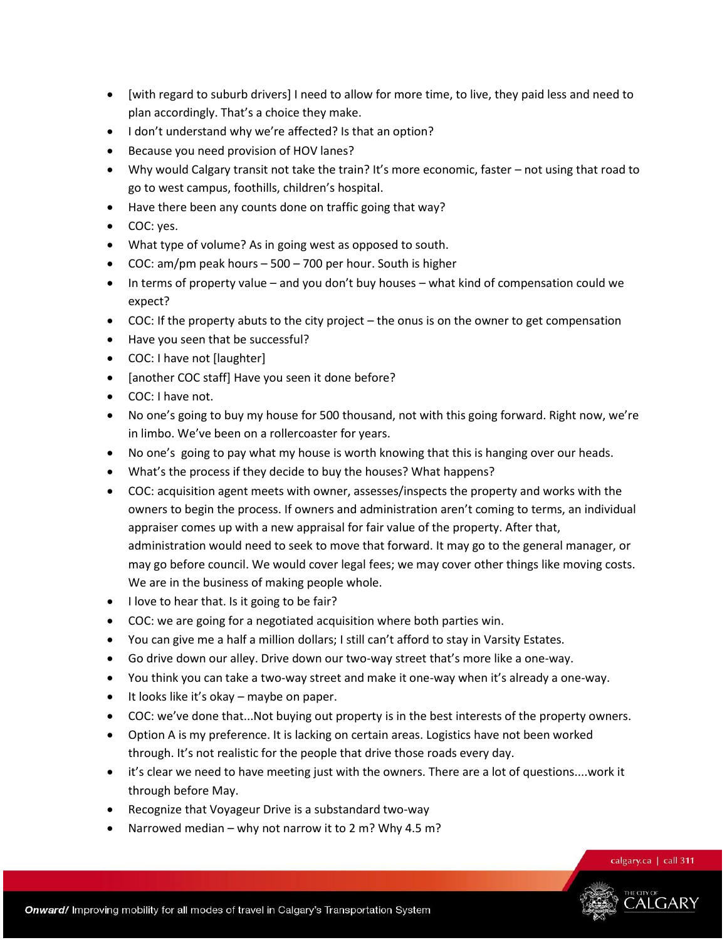- [with regard to suburb drivers] I need to allow for more time, to live, they paid less and need to plan accordingly. That's a choice they make.
- I don't understand why we're affected? Is that an option?
- Because you need provision of HOV lanes?
- Why would Calgary transit not take the train? It's more economic, faster not using that road to go to west campus, foothills, children's hospital.
- Have there been any counts done on traffic going that way?
- COC: yes.
- What type of volume? As in going west as opposed to south.
- COC: am/pm peak hours 500 700 per hour. South is higher
- In terms of property value and you don't buy houses what kind of compensation could we expect?
- COC: If the property abuts to the city project the onus is on the owner to get compensation
- Have you seen that be successful?
- COC: I have not [laughter]
- [another COC staff] Have you seen it done before?
- COC: I have not.
- No one's going to buy my house for 500 thousand, not with this going forward. Right now, we're in limbo. We've been on a rollercoaster for years.
- No one's going to pay what my house is worth knowing that this is hanging over our heads.
- What's the process if they decide to buy the houses? What happens?
- COC: acquisition agent meets with owner, assesses/inspects the property and works with the owners to begin the process. If owners and administration aren't coming to terms, an individual appraiser comes up with a new appraisal for fair value of the property. After that, administration would need to seek to move that forward. It may go to the general manager, or may go before council. We would cover legal fees; we may cover other things like moving costs. We are in the business of making people whole.
- I love to hear that. Is it going to be fair?
- COC: we are going for a negotiated acquisition where both parties win.
- You can give me a half a million dollars; I still can't afford to stay in Varsity Estates.
- Go drive down our alley. Drive down our two-way street that's more like a one-way.
- You think you can take a two-way street and make it one-way when it's already a one-way.
- $\bullet$  It looks like it's okay maybe on paper.
- COC: we've done that...Not buying out property is in the best interests of the property owners.
- Option A is my preference. It is lacking on certain areas. Logistics have not been worked through. It's not realistic for the people that drive those roads every day.
- it's clear we need to have meeting just with the owners. There are a lot of questions....work it through before May.
- Recognize that Voyageur Drive is a substandard two-way
- Narrowed median why not narrow it to 2 m? Why 4.5 m?

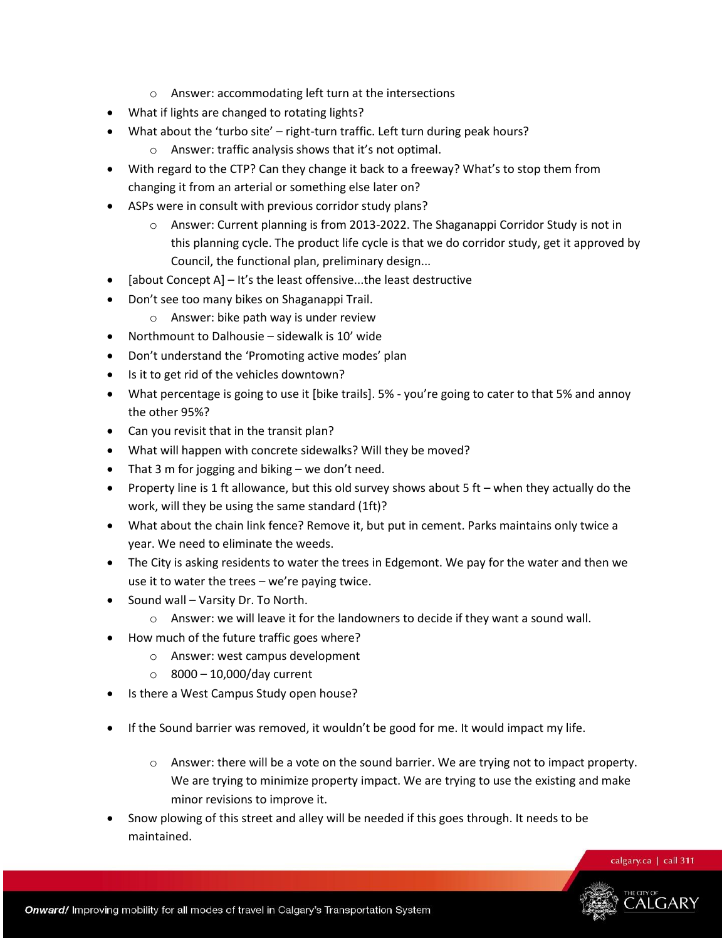- o Answer: accommodating left turn at the intersections
- What if lights are changed to rotating lights?
- What about the 'turbo site' right-turn traffic. Left turn during peak hours?
	- o Answer: traffic analysis shows that it's not optimal.
- With regard to the CTP? Can they change it back to a freeway? What's to stop them from changing it from an arterial or something else later on?
- ASPs were in consult with previous corridor study plans?
	- $\circ$  Answer: Current planning is from 2013-2022. The Shaganappi Corridor Study is not in this planning cycle. The product life cycle is that we do corridor study, get it approved by Council, the functional plan, preliminary design...
- [about Concept A]  $-$  It's the least offensive...the least destructive
- Don't see too many bikes on Shaganappi Trail.
	- o Answer: bike path way is under review
- Northmount to Dalhousie sidewalk is 10' wide
- Don't understand the 'Promoting active modes' plan
- Is it to get rid of the vehicles downtown?
- What percentage is going to use it [bike trails]. 5% you're going to cater to that 5% and annoy the other 95%?
- Can you revisit that in the transit plan?
- What will happen with concrete sidewalks? Will they be moved?
- That 3 m for jogging and biking we don't need.
- Property line is 1 ft allowance, but this old survey shows about 5 ft when they actually do the work, will they be using the same standard (1ft)?
- What about the chain link fence? Remove it, but put in cement. Parks maintains only twice a year. We need to eliminate the weeds.
- The City is asking residents to water the trees in Edgemont. We pay for the water and then we use it to water the trees – we're paying twice.
- Sound wall Varsity Dr. To North.
	- o Answer: we will leave it for the landowners to decide if they want a sound wall.
- How much of the future traffic goes where?
	- o Answer: west campus development
	- $\circ$  8000 10,000/day current
- Is there a West Campus Study open house?
- If the Sound barrier was removed, it wouldn't be good for me. It would impact my life.
	- $\circ$  Answer: there will be a vote on the sound barrier. We are trying not to impact property. We are trying to minimize property impact. We are trying to use the existing and make minor revisions to improve it.
- Snow plowing of this street and alley will be needed if this goes through. It needs to be maintained.

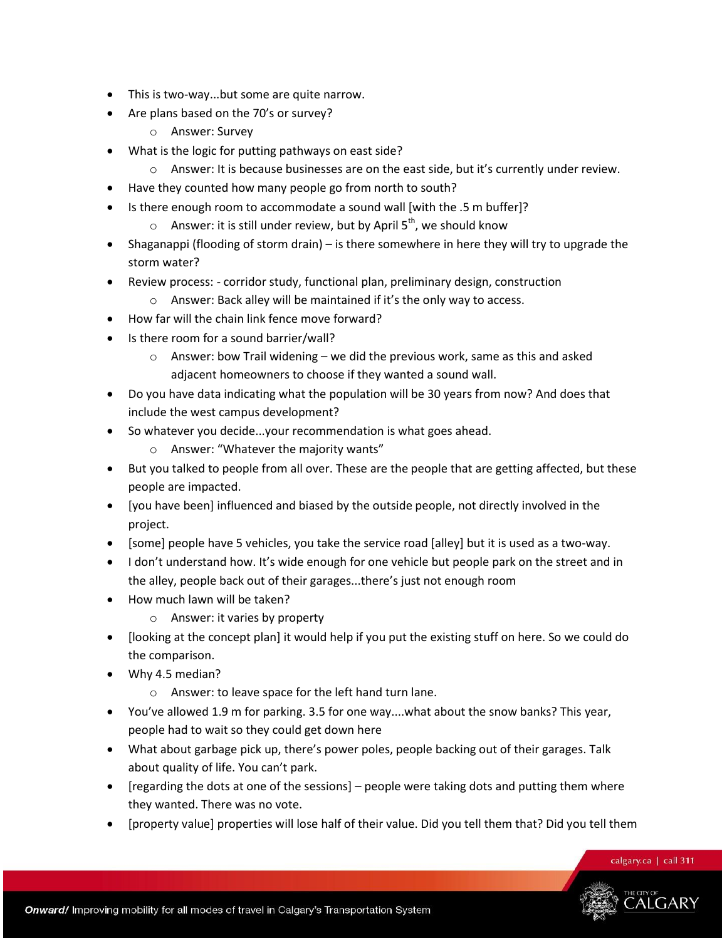- This is two-way...but some are quite narrow.
- Are plans based on the 70's or survey?
	- o Answer: Survey
- What is the logic for putting pathways on east side?
	- o Answer: It is because businesses are on the east side, but it's currently under review.
- Have they counted how many people go from north to south?
- Is there enough room to accommodate a sound wall [with the .5 m buffer]?
	- $\circ$  Answer: it is still under review, but by April 5<sup>th</sup>, we should know
- Shaganappi (flooding of storm drain) is there somewhere in here they will try to upgrade the storm water?
- Review process: corridor study, functional plan, preliminary design, construction
	- o Answer: Back alley will be maintained if it's the only way to access.
- How far will the chain link fence move forward?
- Is there room for a sound barrier/wall?
	- o Answer: bow Trail widening we did the previous work, same as this and asked adjacent homeowners to choose if they wanted a sound wall.
- Do you have data indicating what the population will be 30 years from now? And does that include the west campus development?
- So whatever you decide...your recommendation is what goes ahead.
	- o Answer: "Whatever the majority wants"
- But you talked to people from all over. These are the people that are getting affected, but these people are impacted.
- [you have been] influenced and biased by the outside people, not directly involved in the project.
- $\bullet$  [some] people have 5 vehicles, you take the service road [alley] but it is used as a two-way.
- I don't understand how. It's wide enough for one vehicle but people park on the street and in the alley, people back out of their garages...there's just not enough room
- How much lawn will be taken?
	- o Answer: it varies by property
- [looking at the concept plan] it would help if you put the existing stuff on here. So we could do the comparison.
- Why 4.5 median?
	- o Answer: to leave space for the left hand turn lane.
- You've allowed 1.9 m for parking. 3.5 for one way....what about the snow banks? This year, people had to wait so they could get down here
- What about garbage pick up, there's power poles, people backing out of their garages. Talk about quality of life. You can't park.
- [regarding the dots at one of the sessions] people were taking dots and putting them where they wanted. There was no vote.
- [property value] properties will lose half of their value. Did you tell them that? Did you tell them

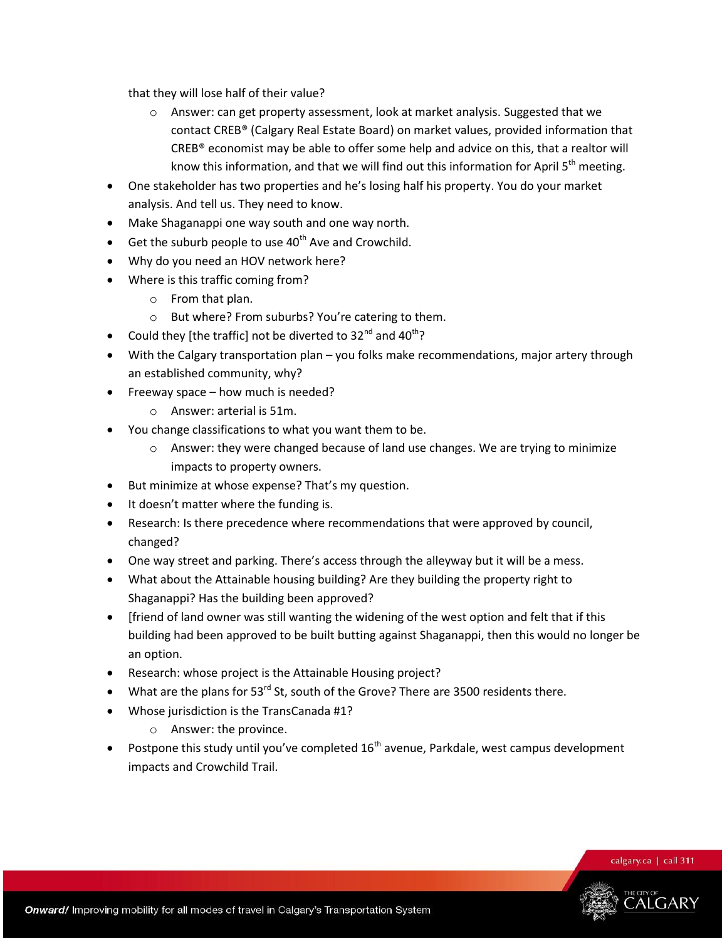that they will lose half of their value?

- $\circ$  Answer: can get property assessment, look at market analysis. Suggested that we contact CREB® (Calgary Real Estate Board) on market values, provided information that CREB® economist may be able to offer some help and advice on this, that a realtor will know this information, and that we will find out this information for April  $5<sup>th</sup>$  meeting.
- One stakeholder has two properties and he's losing half his property. You do your market analysis. And tell us. They need to know.
- Make Shaganappi one way south and one way north.
- $\bullet$  Get the suburb people to use 40<sup>th</sup> Ave and Crowchild.
- Why do you need an HOV network here?
- Where is this traffic coming from?
	- o From that plan.
	- o But where? From suburbs? You're catering to them.
- Could they [the traffic] not be diverted to  $32^{nd}$  and  $40^{th}$ ?
- With the Calgary transportation plan you folks make recommendations, major artery through an established community, why?
- Freeway space how much is needed?
	- o Answer: arterial is 51m.
- You change classifications to what you want them to be.
	- $\circ$  Answer: they were changed because of land use changes. We are trying to minimize impacts to property owners.
- But minimize at whose expense? That's my question.
- It doesn't matter where the funding is.
- Research: Is there precedence where recommendations that were approved by council, changed?
- One way street and parking. There's access through the alleyway but it will be a mess.
- What about the Attainable housing building? Are they building the property right to Shaganappi? Has the building been approved?
- Ifriend of land owner was still wanting the widening of the west option and felt that if this building had been approved to be built butting against Shaganappi, then this would no longer be an option.
- Research: whose project is the Attainable Housing project?
- $\bullet$  What are the plans for 53<sup>rd</sup> St, south of the Grove? There are 3500 residents there.
- Whose jurisdiction is the TransCanada #1?
	- o Answer: the province.
- Postpone this study until you've completed 16<sup>th</sup> avenue, Parkdale, west campus development impacts and Crowchild Trail.

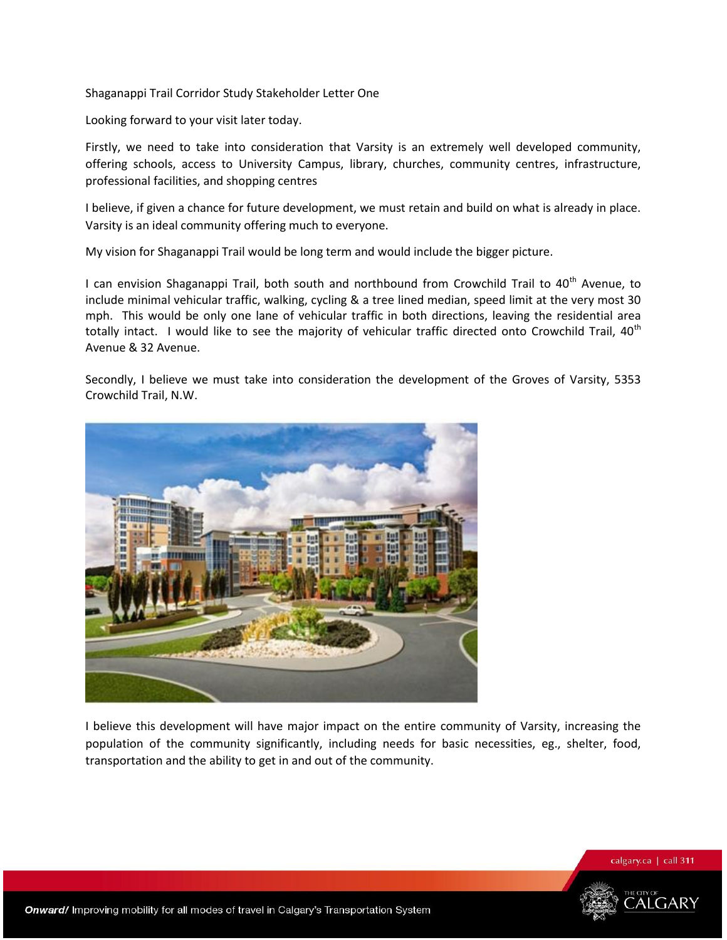Shaganappi Trail Corridor Study Stakeholder Letter One

Looking forward to your visit later today.

Firstly, we need to take into consideration that Varsity is an extremely well developed community, offering schools, access to University Campus, library, churches, community centres, infrastructure, professional facilities, and shopping centres

I believe, if given a chance for future development, we must retain and build on what is already in place. Varsity is an ideal community offering much to everyone.

My vision for Shaganappi Trail would be long term and would include the bigger picture.

I can envision Shaganappi Trail, both south and northbound from Crowchild Trail to 40<sup>th</sup> Avenue, to include minimal vehicular traffic, walking, cycling & a tree lined median, speed limit at the very most 30 mph. This would be only one lane of vehicular traffic in both directions, leaving the residential area totally intact. I would like to see the majority of vehicular traffic directed onto Crowchild Trail, 40<sup>th</sup> Avenue & 32 Avenue.

Secondly, I believe we must take into consideration the development of the Groves of Varsity, 5353 Crowchild Trail, N.W.



I believe this development will have major impact on the entire community of Varsity, increasing the population of the community significantly, including needs for basic necessities, eg., shelter, food, transportation and the ability to get in and out of the community.

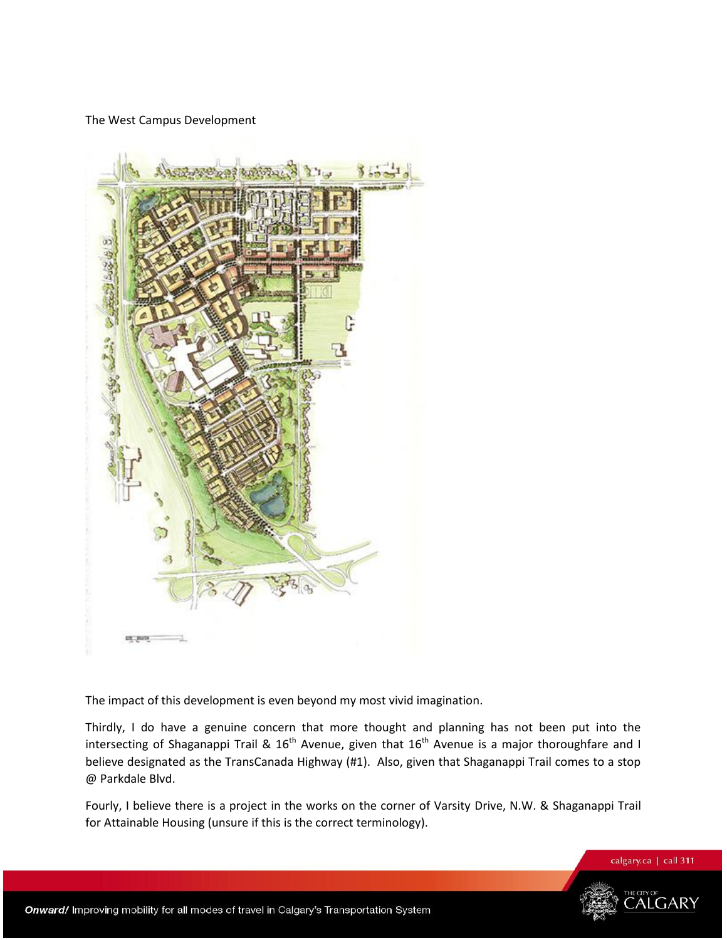### The West Campus Development



The impact of this development is even beyond my most vivid imagination.

Thirdly, I do have a genuine concern that more thought and planning has not been put into the intersecting of Shaganappi Trail &  $16<sup>th</sup>$  Avenue, given that  $16<sup>th</sup>$  Avenue is a major thoroughfare and I believe designated as the TransCanada Highway (#1). Also, given that Shaganappi Trail comes to a stop @ Parkdale Blvd.

Fourly, I believe there is a project in the works on the corner of Varsity Drive, N.W. & Shaganappi Trail for Attainable Housing (unsure if this is the correct terminology).

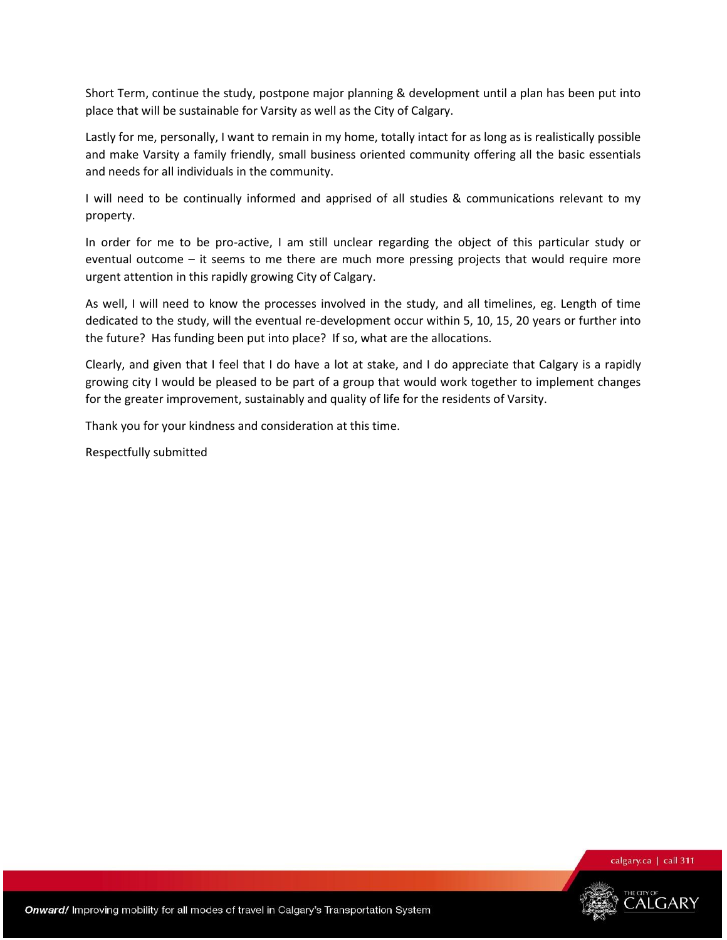Short Term, continue the study, postpone major planning & development until a plan has been put into place that will be sustainable for Varsity as well as the City of Calgary.

Lastly for me, personally, I want to remain in my home, totally intact for as long as is realistically possible and make Varsity a family friendly, small business oriented community offering all the basic essentials and needs for all individuals in the community.

I will need to be continually informed and apprised of all studies & communications relevant to my property.

In order for me to be pro-active, I am still unclear regarding the object of this particular study or eventual outcome – it seems to me there are much more pressing projects that would require more urgent attention in this rapidly growing City of Calgary.

As well, I will need to know the processes involved in the study, and all timelines, eg. Length of time dedicated to the study, will the eventual re-development occur within 5, 10, 15, 20 years or further into the future? Has funding been put into place? If so, what are the allocations.

Clearly, and given that I feel that I do have a lot at stake, and I do appreciate that Calgary is a rapidly growing city I would be pleased to be part of a group that would work together to implement changes for the greater improvement, sustainably and quality of life for the residents of Varsity.

Thank you for your kindness and consideration at this time.

Respectfully submitted